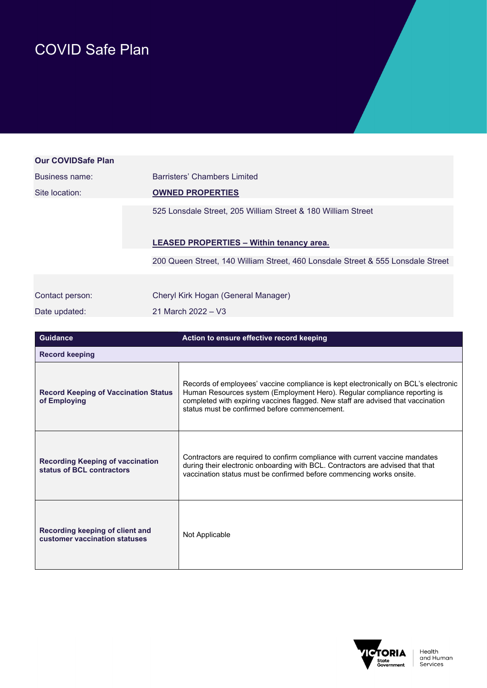## COVID Safe Plan

| <b>Our COVIDSafe Plan</b> |                                                                                 |
|---------------------------|---------------------------------------------------------------------------------|
| Business name:            | Barristers' Chambers Limited                                                    |
| Site location:            | <b>OWNED PROPERTIES</b>                                                         |
|                           | 525 Lonsdale Street, 205 William Street & 180 William Street                    |
|                           | <b>LEASED PROPERTIES - Within tenancy area.</b>                                 |
|                           | 200 Queen Street, 140 William Street, 460 Lonsdale Street & 555 Lonsdale Street |
|                           |                                                                                 |
| Contact person:           | Cheryl Kirk Hogan (General Manager)                                             |
| Date updated:             | 21 March 2022 - V3                                                              |

| <b>Guidance</b>                                                      | Action to ensure effective record keeping                                                                                                                                                                                                                                                            |
|----------------------------------------------------------------------|------------------------------------------------------------------------------------------------------------------------------------------------------------------------------------------------------------------------------------------------------------------------------------------------------|
| <b>Record keeping</b>                                                |                                                                                                                                                                                                                                                                                                      |
| <b>Record Keeping of Vaccination Status</b><br>of Employing          | Records of employees' vaccine compliance is kept electronically on BCL's electronic<br>Human Resources system (Employment Hero). Regular compliance reporting is<br>completed with expiring vaccines flagged. New staff are advised that vaccination<br>status must be confirmed before commencement |
| <b>Recording Keeping of vaccination</b><br>status of BCL contractors | Contractors are required to confirm compliance with current vaccine mandates<br>during their electronic onboarding with BCL. Contractors are advised that that<br>vaccination status must be confirmed before commencing works onsite.                                                               |
| Recording keeping of client and<br>customer vaccination statuses     | Not Applicable                                                                                                                                                                                                                                                                                       |

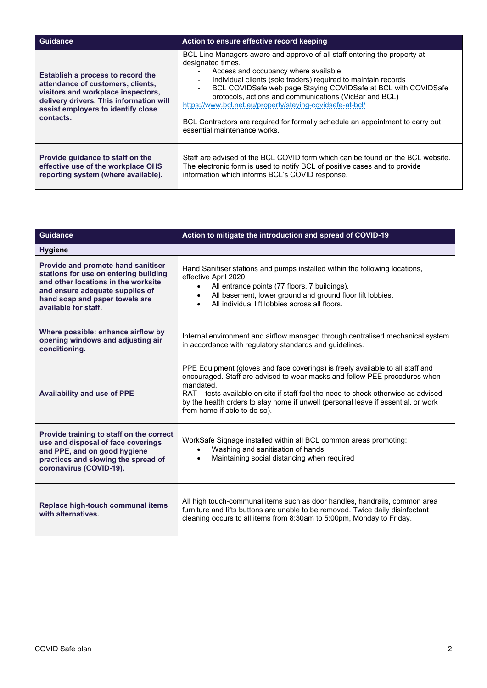| <b>Guidance</b>                                                                                                                                                                                            | Action to ensure effective record keeping                                                                                                                                                                                                                                                                                                                                                                                                                                                                           |
|------------------------------------------------------------------------------------------------------------------------------------------------------------------------------------------------------------|---------------------------------------------------------------------------------------------------------------------------------------------------------------------------------------------------------------------------------------------------------------------------------------------------------------------------------------------------------------------------------------------------------------------------------------------------------------------------------------------------------------------|
| Establish a process to record the<br>attendance of customers, clients,<br>visitors and workplace inspectors,<br>delivery drivers. This information will<br>assist employers to identify close<br>contacts. | BCL Line Managers aware and approve of all staff entering the property at<br>designated times.<br>Access and occupancy where available<br>Individual clients (sole traders) required to maintain records<br>BCL COVIDSafe web page Staying COVIDSafe at BCL with COVIDSafe<br>protocols, actions and communications (VicBar and BCL)<br>https://www.bcl.net.au/property/staying-covidsafe-at-bcl/<br>BCL Contractors are required for formally schedule an appointment to carry out<br>essential maintenance works. |
| Provide quidance to staff on the<br>effective use of the workplace OHS<br>reporting system (where available).                                                                                              | Staff are advised of the BCL COVID form which can be found on the BCL website.<br>The electronic form is used to notify BCL of positive cases and to provide<br>information which informs BCL's COVID response.                                                                                                                                                                                                                                                                                                     |

| <b>Guidance</b>                                                                                                                                                                                                        | Action to mitigate the introduction and spread of COVID-19                                                                                                                                                                                                                                                                                                                           |  |
|------------------------------------------------------------------------------------------------------------------------------------------------------------------------------------------------------------------------|--------------------------------------------------------------------------------------------------------------------------------------------------------------------------------------------------------------------------------------------------------------------------------------------------------------------------------------------------------------------------------------|--|
| <b>Hygiene</b>                                                                                                                                                                                                         |                                                                                                                                                                                                                                                                                                                                                                                      |  |
| <b>Provide and promote hand sanitiser</b><br>stations for use on entering building<br>and other locations in the worksite<br>and ensure adequate supplies of<br>hand soap and paper towels are<br>available for staff. | Hand Sanitiser stations and pumps installed within the following locations,<br>effective April 2020:<br>All entrance points (77 floors, 7 buildings).<br>$\bullet$<br>All basement, lower ground and ground floor lift lobbies.<br>$\bullet$<br>All individual lift lobbies across all floors.<br>$\bullet$                                                                          |  |
| Where possible: enhance airflow by<br>opening windows and adjusting air<br>conditioning.                                                                                                                               | Internal environment and airflow managed through centralised mechanical system<br>in accordance with regulatory standards and guidelines.                                                                                                                                                                                                                                            |  |
| <b>Availability and use of PPE</b>                                                                                                                                                                                     | PPE Equipment (gloves and face coverings) is freely available to all staff and<br>encouraged. Staff are advised to wear masks and follow PEE procedures when<br>mandated.<br>RAT – tests available on site if staff feel the need to check otherwise as advised<br>by the health orders to stay home if unwell (personal leave if essential, or work<br>from home if able to do so). |  |
| Provide training to staff on the correct<br>use and disposal of face coverings<br>and PPE, and on good hygiene<br>practices and slowing the spread of<br>coronavirus (COVID-19).                                       | WorkSafe Signage installed within all BCL common areas promoting:<br>Washing and sanitisation of hands.<br>$\bullet$<br>Maintaining social distancing when required<br>$\bullet$                                                                                                                                                                                                     |  |
| Replace high-touch communal items<br>with alternatives.                                                                                                                                                                | All high touch-communal items such as door handles, handrails, common area<br>furniture and lifts buttons are unable to be removed. Twice daily disinfectant<br>cleaning occurs to all items from 8:30am to 5:00pm, Monday to Friday.                                                                                                                                                |  |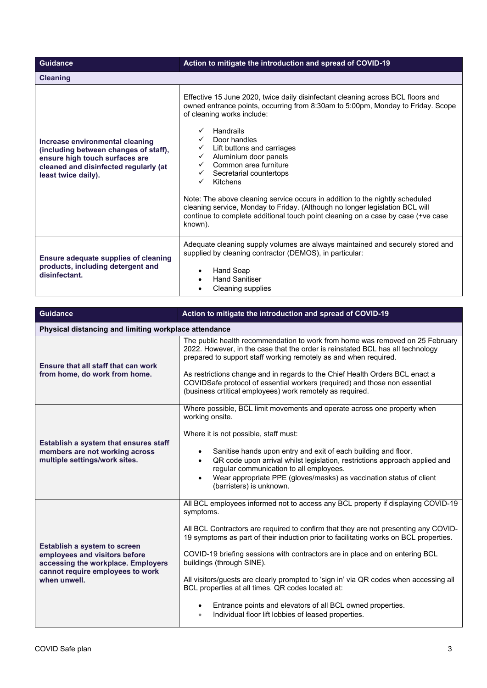| <b>Guidance</b>                                                                                                                                                            | Action to mitigate the introduction and spread of COVID-19                                                                                                                                                                                                                                                                                                                                                                                                                                                                                                                                                                          |
|----------------------------------------------------------------------------------------------------------------------------------------------------------------------------|-------------------------------------------------------------------------------------------------------------------------------------------------------------------------------------------------------------------------------------------------------------------------------------------------------------------------------------------------------------------------------------------------------------------------------------------------------------------------------------------------------------------------------------------------------------------------------------------------------------------------------------|
| <b>Cleaning</b>                                                                                                                                                            |                                                                                                                                                                                                                                                                                                                                                                                                                                                                                                                                                                                                                                     |
| Increase environmental cleaning<br>(including between changes of staff),<br>ensure high touch surfaces are<br>cleaned and disinfected regularly (at<br>least twice daily). | Effective 15 June 2020, twice daily disinfectant cleaning across BCL floors and<br>owned entrance points, occurring from 8:30am to 5:00pm, Monday to Friday. Scope<br>of cleaning works include:<br>Handrails<br>Door handles<br>Lift buttons and carriages<br>Aluminium door panels<br>$\checkmark$<br>Common area furniture<br>Secretarial countertops<br>Kitchens<br>Note: The above cleaning service occurs in addition to the nightly scheduled<br>cleaning service, Monday to Friday. (Although no longer legislation BCL will<br>continue to complete additional touch point cleaning on a case by case (+ve case<br>known). |
| Ensure adequate supplies of cleaning<br>products, including detergent and<br>disinfectant.                                                                                 | Adequate cleaning supply volumes are always maintained and securely stored and<br>supplied by cleaning contractor (DEMOS), in particular:<br>Hand Soap<br><b>Hand Sanitiser</b><br>$\bullet$<br>Cleaning supplies                                                                                                                                                                                                                                                                                                                                                                                                                   |

| <b>Guidance</b>                                                                                                                                                | Action to mitigate the introduction and spread of COVID-19                                                                                                                                                                                                                                                                                                                                                                                                                                                                                                                                                                                                                 |
|----------------------------------------------------------------------------------------------------------------------------------------------------------------|----------------------------------------------------------------------------------------------------------------------------------------------------------------------------------------------------------------------------------------------------------------------------------------------------------------------------------------------------------------------------------------------------------------------------------------------------------------------------------------------------------------------------------------------------------------------------------------------------------------------------------------------------------------------------|
| Physical distancing and limiting workplace attendance                                                                                                          |                                                                                                                                                                                                                                                                                                                                                                                                                                                                                                                                                                                                                                                                            |
| <b>Ensure that all staff that can work</b><br>from home, do work from home.                                                                                    | The public health recommendation to work from home was removed on 25 February<br>2022. However, in the case that the order is reinstated BCL has all technology<br>prepared to support staff working remotely as and when required.<br>As restrictions change and in regards to the Chief Health Orders BCL enact a<br>COVIDSafe protocol of essential workers (required) and those non essential<br>(business crtitical employees) work remotely as required.                                                                                                                                                                                                             |
| Establish a system that ensures staff<br>members are not working across<br>multiple settings/work sites.                                                       | Where possible, BCL limit movements and operate across one property when<br>working onsite.<br>Where it is not possible, staff must:<br>Sanitise hands upon entry and exit of each building and floor.<br>QR code upon arrival whilst legislation, restrictions approach applied and<br>$\bullet$<br>regular communication to all employees.<br>Wear appropriate PPE (gloves/masks) as vaccination status of client<br>(barristers) is unknown.                                                                                                                                                                                                                            |
| <b>Establish a system to screen</b><br>employees and visitors before<br>accessing the workplace. Employers<br>cannot require employees to work<br>when unwell. | All BCL employees informed not to access any BCL property if displaying COVID-19<br>symptoms.<br>All BCL Contractors are required to confirm that they are not presenting any COVID-<br>19 symptoms as part of their induction prior to facilitating works on BCL properties.<br>COVID-19 briefing sessions with contractors are in place and on entering BCL<br>buildings (through SINE).<br>All visitors/guests are clearly prompted to 'sign in' via QR codes when accessing all<br>BCL properties at all times. QR codes located at:<br>Entrance points and elevators of all BCL owned properties.<br>Individual floor lift lobbies of leased properties.<br>$\bullet$ |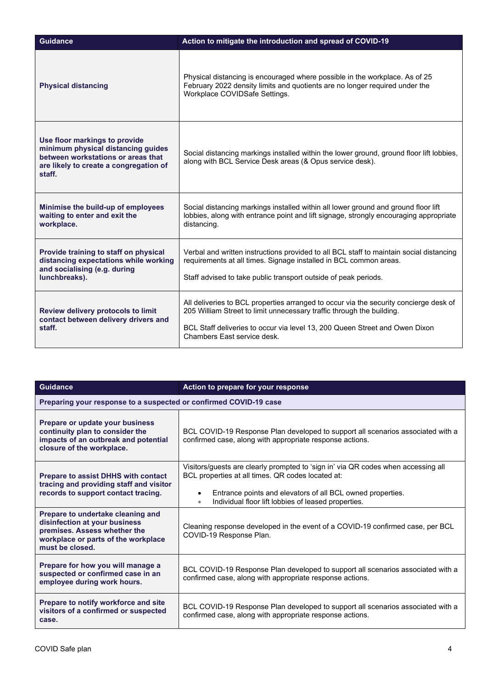| <b>Guidance</b>                                                                                                                                               | Action to mitigate the introduction and spread of COVID-19                                                                                                                                                                                                                   |
|---------------------------------------------------------------------------------------------------------------------------------------------------------------|------------------------------------------------------------------------------------------------------------------------------------------------------------------------------------------------------------------------------------------------------------------------------|
| <b>Physical distancing</b>                                                                                                                                    | Physical distancing is encouraged where possible in the workplace. As of 25<br>February 2022 density limits and quotients are no longer required under the<br>Workplace COVIDSafe Settings.                                                                                  |
| Use floor markings to provide<br>minimum physical distancing guides<br>between workstations or areas that<br>are likely to create a congregation of<br>staff. | Social distancing markings installed within the lower ground, ground floor lift lobbies,<br>along with BCL Service Desk areas (& Opus service desk).                                                                                                                         |
| Minimise the build-up of employees<br>waiting to enter and exit the<br>workplace.                                                                             | Social distancing markings installed within all lower ground and ground floor lift<br>lobbies, along with entrance point and lift signage, strongly encouraging appropriate<br>distancing.                                                                                   |
| Provide training to staff on physical<br>distancing expectations while working<br>and socialising (e.g. during<br>lunchbreaks).                               | Verbal and written instructions provided to all BCL staff to maintain social distancing<br>requirements at all times. Signage installed in BCL common areas.<br>Staff advised to take public transport outside of peak periods.                                              |
| Review delivery protocols to limit<br>contact between delivery drivers and<br>staff.                                                                          | All deliveries to BCL properties arranged to occur via the security concierge desk of<br>205 William Street to limit unnecessary traffic through the building.<br>BCL Staff deliveries to occur via level 13, 200 Queen Street and Owen Dixon<br>Chambers Fast service desk. |

| <b>Guidance</b>                                                                                                                                              | Action to prepare for your response                                                                                                                                                                                                                                                   |
|--------------------------------------------------------------------------------------------------------------------------------------------------------------|---------------------------------------------------------------------------------------------------------------------------------------------------------------------------------------------------------------------------------------------------------------------------------------|
| Preparing your response to a suspected or confirmed COVID-19 case                                                                                            |                                                                                                                                                                                                                                                                                       |
| Prepare or update your business<br>continuity plan to consider the<br>impacts of an outbreak and potential<br>closure of the workplace.                      | BCL COVID-19 Response Plan developed to support all scenarios associated with a<br>confirmed case, along with appropriate response actions.                                                                                                                                           |
| Prepare to assist DHHS with contact<br>tracing and providing staff and visitor<br>records to support contact tracing.                                        | Visitors/guests are clearly prompted to 'sign in' via QR codes when accessing all<br>BCL properties at all times. QR codes located at:<br>Entrance points and elevators of all BCL owned properties.<br>$\bullet$<br>Individual floor lift lobbies of leased properties.<br>$\bullet$ |
| Prepare to undertake cleaning and<br>disinfection at your business<br>premises. Assess whether the<br>workplace or parts of the workplace<br>must be closed. | Cleaning response developed in the event of a COVID-19 confirmed case, per BCL<br>COVID-19 Response Plan.                                                                                                                                                                             |
| Prepare for how you will manage a<br>suspected or confirmed case in an<br>employee during work hours.                                                        | BCL COVID-19 Response Plan developed to support all scenarios associated with a<br>confirmed case, along with appropriate response actions.                                                                                                                                           |
| Prepare to notify workforce and site<br>visitors of a confirmed or suspected<br>case.                                                                        | BCL COVID-19 Response Plan developed to support all scenarios associated with a<br>confirmed case, along with appropriate response actions.                                                                                                                                           |